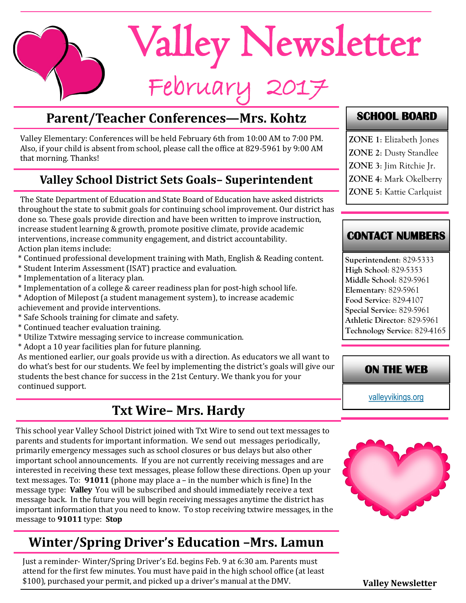

## **Parent/Teacher Conferences—Mrs. Kohtz**

Valley Elementary: Conferences will be held February 6th from 10:00 AM to 7:00 PM. Also, if your child is absent from school, please call the office at 829-5961 by 9:00 AM that morning. Thanks!

#### **Valley School District Sets Goals– Superintendent**

The State Department of Education and State Board of Education have asked districts throughout the state to submit goals for continuing school improvement. Our district has done so. These goals provide direction and have been written to improve instruction, increase student learning & growth, promote positive climate, provide academic interventions, increase community engagement, and district accountability. Action plan items include:

- \* Continued professional development training with Math, English & Reading content.
- \* Student Interim Assessment (ISAT) practice and evaluation.
- \* Implementation of a literacy plan.
- \* Implementation of a college & career readiness plan for post-high school life.

\* Adoption of Milepost (a student management system), to increase academic achievement and provide interventions.

- \* Safe Schools training for climate and safety.
- \* Continued teacher evaluation training.
- \* Utilize Txtwire messaging service to increase communication.
- \* Adopt a 10 year facilities plan for future planning.

As mentioned earlier, our goals provide us with a direction. As educators we all want to do what's best for our students. We feel by implementing the district's goals will give our students the best chance for success in the 21st Century. We thank you for your continued support.

## **Txt Wire– Mrs. Hardy**

This school year Valley School District joined with Txt Wire to send out text messages to parents and students for important information. We send out messages periodically, primarily emergency messages such as school closures or bus delays but also other important school announcements. If you are not currently receiving messages and are interested in receiving these text messages, please follow these directions. Open up your text messages. To: **91011** (phone may place a – in the number which is fine) In the message type: **Valley** You will be subscribed and should immediately receive a text message back. In the future you will begin receiving messages anytime the district has important information that you need to know. To stop receiving txtwire messages, in the message to **91011** type: **Stop**

# **Winter/Spring Driver's Education –Mrs. Lamun**

Just a reminder- Winter/Spring Driver's Ed. begins Feb. 9 at 6:30 am. Parents must attend for the first few minutes. You must have paid in the high school office (at least \$100), purchased your permit, and picked up a driver's manual at the DMV.

#### **SCHOOL BOARD**

- **ZONE 1**: Elizabeth Jones
- **ZONE 2**: Dusty Standlee
- **ZONE 3**: Jim Ritchie Jr.
- **ZONE 4**: Mark Okelberry
- **ZONE 5**: Kattie Carlquist

#### **CONTACT NUMBERS**

**Superintendent**: 829-5333 **High School**: 829-5353 **Middle School**: 829-5961 **Elementary**: 829-5961 **Food Service**: 829-4107 **Special Service**: 829-5961 **Athletic Director**: 829-5961 **Technology Service**: 829-4165

#### **ON THE WEB**

[valleyvikings.org](http://www.valleyvikings.org/)



**Valley Newsletter**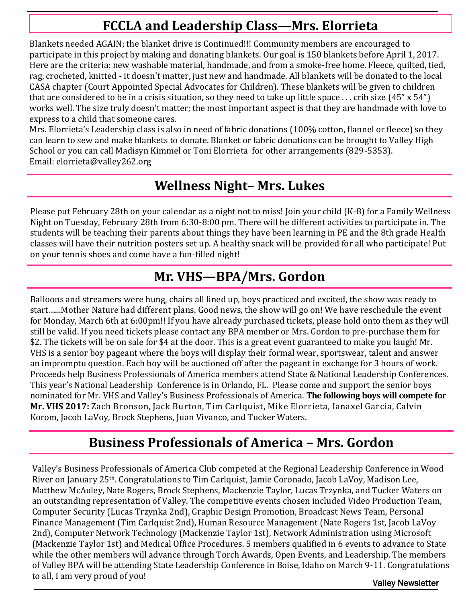## **FCCLA and Leadership Class—Mrs. Elorrieta**

Blankets needed AGAIN; the blanket drive is Continued!!! Community members are encouraged to participate in this project by making and donating blankets. Our goal is 150 blankets before April 1, 2017. Here are the criteria: new washable material, handmade, and from a smoke-free home. Fleece, quilted, tied, rag, crocheted, knitted - it doesn't matter, just new and handmade. All blankets will be donated to the local CASA chapter (Court Appointed Special Advocates for Children). These blankets will be given to children that are considered to be in a crisis situation, so they need to take up little space  $\ldots$  crib size (45" x 54") works well. The size truly doesn't matter; the most important aspect is that they are handmade with love to express to a child that someone cares.

Mrs. Elorrieta's Leadership class is also in need of fabric donations (100% cotton, flannel or fleece) so they can learn to sew and make blankets to donate. Blanket or fabric donations can be brought to Valley High School or you can call Madisyn Kimmel or Toni Elorrieta for other arrangements (829-5353). Email: [elorrieta@valley262.org](https://cas.tek-hut.com/owa/redir.aspx?SURL=kivFqfCB5FJ-6tbbWlPGNUw2wKmoryeDmRUwypcaGHcm6MdGOyfTCG0AYQBpAGwAdABvADoAZQBsAG8AcgByAGkAZQB0AGEAQAB2AGEAbABsAGUAeQAyADYAMgAuAG8AcgBnAA..&URL=mailto%3aelorrieta%40valley262.org)

## **Wellness Night– Mrs. Lukes**

Please put February 28th on your calendar as a night not to miss! Join your child (K-8) for a Family Wellness Night on Tuesday, February 28th from 6:30-8:00 pm. There will be different activities to participate in. The students will be teaching their parents about things they have been learning in PE and the 8th grade Health classes will have their nutrition posters set up. A healthy snack will be provided for all who participate! Put on your tennis shoes and come have a fun-filled night!

## **Mr. VHS—BPA/Mrs. Gordon**

Balloons and streamers were hung, chairs all lined up, boys practiced and excited, the show was ready to start…...Mother Nature had different plans. Good news, the show will go on! We have reschedule the event for Monday, March 6th at 6:00pm!! If you have already purchased tickets, please hold onto them as they will still be valid. If you need tickets please contact any BPA member or Mrs. Gordon to pre-purchase them for \$2. The tickets will be on sale for \$4 at the door. This is a great event guaranteed to make you laugh! Mr. VHS is a senior boy pageant where the boys will display their formal wear, sportswear, talent and answer an impromptu question. Each boy will be auctioned off after the pageant in exchange for 3 hours of work. Proceeds help Business Professionals of America members attend State & National Leadership Conferences. This year's National Leadership Conference is in Orlando, FL. Please come and support the senior boys nominated for Mr. VHS and Valley's Business Professionals of America. **The following boys will compete for Mr. VHS 2017:** Zach Bronson, Jack Burton, Tim Carlquist, Mike Elorrieta, Ianaxel Garcia, Calvin Korom, Jacob LaVoy, Brock Stephens, Juan Vivanco, and Tucker Waters.

## **Business Professionals of America – Mrs. Gordon**

Valley's Business Professionals of America Club competed at the Regional Leadership Conference in Wood River on January 25th. Congratulations to Tim Carlquist, Jamie Coronado, Jacob LaVoy, Madison Lee, Matthew McAuley, Nate Rogers, Brock Stephens, Mackenzie Taylor, Lucas Trzynka, and Tucker Waters on an outstanding representation of Valley. The competitive events chosen included Video Production Team, Computer Security (Lucas Trzynka 2nd), Graphic Design Promotion, Broadcast News Team, Personal Finance Management (Tim Carlquist 2nd), Human Resource Management (Nate Rogers 1st, Jacob LaVoy 2nd), Computer Network Technology (Mackenzie Taylor 1st), Network Administration using Microsoft (Mackenzie Taylor 1st) and Medical Office Procedures. 5 members qualified in 6 events to advance to State while the other members will advance through Torch Awards, Open Events, and Leadership. The members of Valley BPA will be attending State Leadership Conference in Boise, Idaho on March 9-11. Congratulations to all, I am very proud of you!

Valley Newsletter